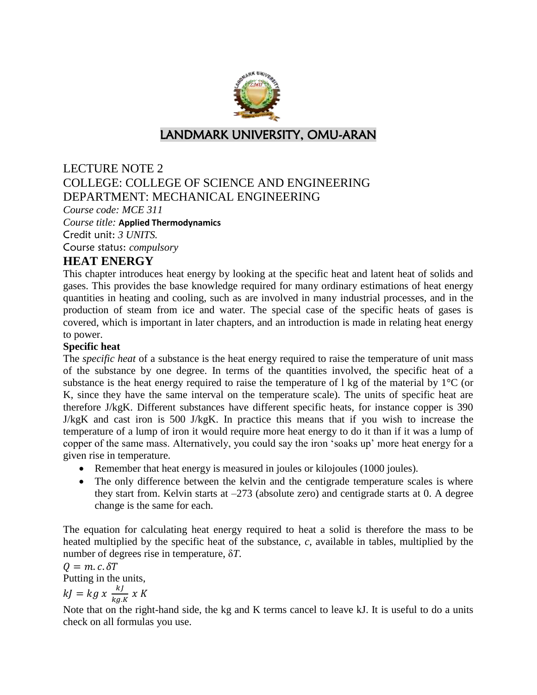

# LANDMARK UNIVERSITY, OMU-ARAN

## LECTURE NOTE 2 COLLEGE: COLLEGE OF SCIENCE AND ENGINEERING DEPARTMENT: MECHANICAL ENGINEERING *Course code: MCE 311 Course title:* **Applied Thermodynamics** Credit unit: *3 UNITS.* Course status: *compulsory*

## **HEAT ENERGY**

This chapter introduces heat energy by looking at the specific heat and latent heat of solids and gases. This provides the base knowledge required for many ordinary estimations of heat energy quantities in heating and cooling, such as are involved in many industrial processes, and in the production of steam from ice and water. The special case of the specific heats of gases is covered, which is important in later chapters, and an introduction is made in relating heat energy to power.

### **Specific heat**

The *specific heat* of a substance is the heat energy required to raise the temperature of unit mass of the substance by one degree. In terms of the quantities involved, the specific heat of a substance is the heat energy required to raise the temperature of l kg of the material by 1°C (or K, since they have the same interval on the temperature scale). The units of specific heat are therefore J/kgK. Different substances have different specific heats, for instance copper is 390 J/kgK and cast iron is 500 J/kgK. In practice this means that if you wish to increase the temperature of a lump of iron it would require more heat energy to do it than if it was a lump of copper of the same mass. Alternatively, you could say the iron 'soaks up' more heat energy for a given rise in temperature.

- Remember that heat energy is measured in joules or kilojoules (1000 joules).
- The only difference between the kelvin and the centigrade temperature scales is where they start from. Kelvin starts at –273 (absolute zero) and centigrade starts at 0. A degree change is the same for each.

The equation for calculating heat energy required to heat a solid is therefore the mass to be heated multiplied by the specific heat of the substance, *c*, available in tables, multiplied by the number of degrees rise in temperature, δ*T*.

 $0 = m, c, \delta T$ Putting in the units,  $kf = kg x \frac{k}{\log x}$  $\frac{R}{kg.K}$  X

Note that on the right-hand side, the kg and K terms cancel to leave kJ. It is useful to do a units check on all formulas you use.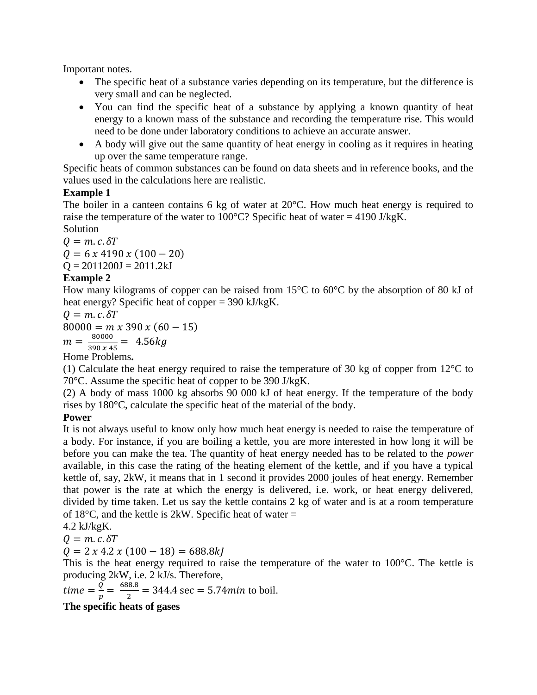Important notes.

- The specific heat of a substance varies depending on its temperature, but the difference is very small and can be neglected.
- You can find the specific heat of a substance by applying a known quantity of heat energy to a known mass of the substance and recording the temperature rise. This would need to be done under laboratory conditions to achieve an accurate answer.
- A body will give out the same quantity of heat energy in cooling as it requires in heating up over the same temperature range.

Specific heats of common substances can be found on data sheets and in reference books, and the values used in the calculations here are realistic.

## **Example 1**

The boiler in a canteen contains 6 kg of water at 20°C. How much heat energy is required to raise the temperature of the water to 100 $^{\circ}$ C? Specific heat of water = 4190 J/kgK. Solution

 $Q = m.c.\delta T$  $Q = 6x4190x(100 - 20)$  $Q = 2011200J = 2011.2kJ$ 

## **Example 2**

How many kilograms of copper can be raised from 15°C to 60°C by the absorption of 80 kJ of heat energy? Specific heat of copper = 390 kJ/kgK.

$$
Q = m.c.\,\delta T
$$
  
80000 =  $m \times 390 \times (60 - 15)$   
 $m = \frac{80000}{390 \times 45} = 4.56kg$ 

Home Problems**.**

(1) Calculate the heat energy required to raise the temperature of 30 kg of copper from 12°C to 70°C. Assume the specific heat of copper to be 390 J/kgK.

(2) A body of mass 1000 kg absorbs 90 000 kJ of heat energy. If the temperature of the body rises by 180°C, calculate the specific heat of the material of the body.

## **Power**

It is not always useful to know only how much heat energy is needed to raise the temperature of a body. For instance, if you are boiling a kettle, you are more interested in how long it will be before you can make the tea. The quantity of heat energy needed has to be related to the *power*  available, in this case the rating of the heating element of the kettle, and if you have a typical kettle of, say, 2kW, it means that in 1 second it provides 2000 joules of heat energy. Remember that power is the rate at which the energy is delivered, i.e. work, or heat energy delivered, divided by time taken. Let us say the kettle contains 2 kg of water and is at a room temperature of 18 $\degree$ C, and the kettle is 2kW. Specific heat of water =

4.2 kJ/kgK.

$$
Q=m.c.\,\delta T
$$

 $Q = 2 x 4.2 x (100 - 18) = 688.8 kJ$ 

This is the heat energy required to raise the temperature of the water to 100°C. The kettle is producing 2kW, i.e. 2 kJ/s. Therefore,

time  $=\frac{Q}{r}$  $\frac{Q}{p} = \frac{6}{7}$  $t_{\rm 2}^{\rm 10.6}$  = 344.4 sec = 5.74*min* to boil.

## **The specific heats of gases**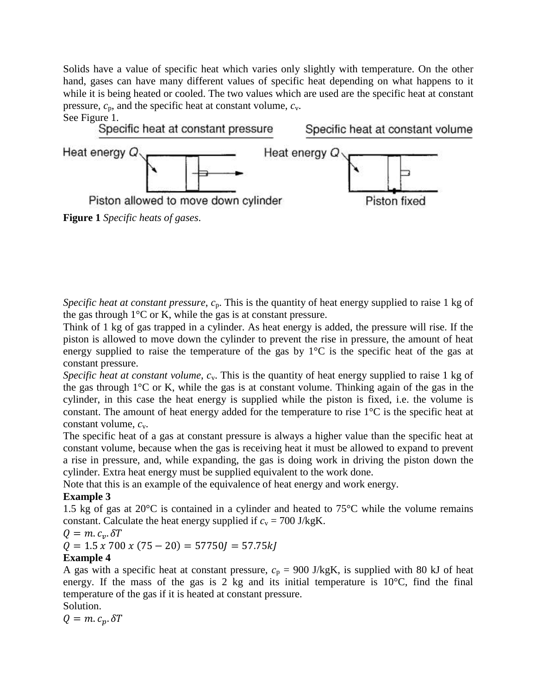Solids have a value of specific heat which varies only slightly with temperature. On the other hand, gases can have many different values of specific heat depending on what happens to it while it is being heated or cooled. The two values which are used are the specific heat at constant pressure, *c*p, and the specific heat at constant volume, *c*v.



*Specific heat at constant pressure, c<sub>p</sub>. This is the quantity of heat energy supplied to raise 1 kg of* the gas through  $1^{\circ}$ C or K, while the gas is at constant pressure.

Think of 1 kg of gas trapped in a cylinder. As heat energy is added, the pressure will rise. If the piston is allowed to move down the cylinder to prevent the rise in pressure, the amount of heat energy supplied to raise the temperature of the gas by  $1^{\circ}C$  is the specific heat of the gas at constant pressure.

*Specific heat at constant volume, c<sub>v</sub>.* This is the quantity of heat energy supplied to raise 1 kg of the gas through 1°C or K, while the gas is at constant volume. Thinking again of the gas in the cylinder, in this case the heat energy is supplied while the piston is fixed, i.e. the volume is constant. The amount of heat energy added for the temperature to rise 1°C is the specific heat at constant volume, *c*v.

The specific heat of a gas at constant pressure is always a higher value than the specific heat at constant volume, because when the gas is receiving heat it must be allowed to expand to prevent a rise in pressure, and, while expanding, the gas is doing work in driving the piston down the cylinder. Extra heat energy must be supplied equivalent to the work done.

Note that this is an example of the equivalence of heat energy and work energy.

## **Example 3**

1.5 kg of gas at 20°C is contained in a cylinder and heated to 75°C while the volume remains constant. Calculate the heat energy supplied if  $c_v = 700$  J/kgK.

$$
Q = m.c_v. \delta T
$$
  
Q = 1.5 x 700 x (75 – 20) = 57750J = 57.75kJ

#### **Example 4**

A gas with a specific heat at constant pressure,  $c_p = 900$  J/kgK, is supplied with 80 kJ of heat energy. If the mass of the gas is 2 kg and its initial temperature is 10°C, find the final temperature of the gas if it is heated at constant pressure.

#### Solution.

 $Q = m.c_n.\delta T$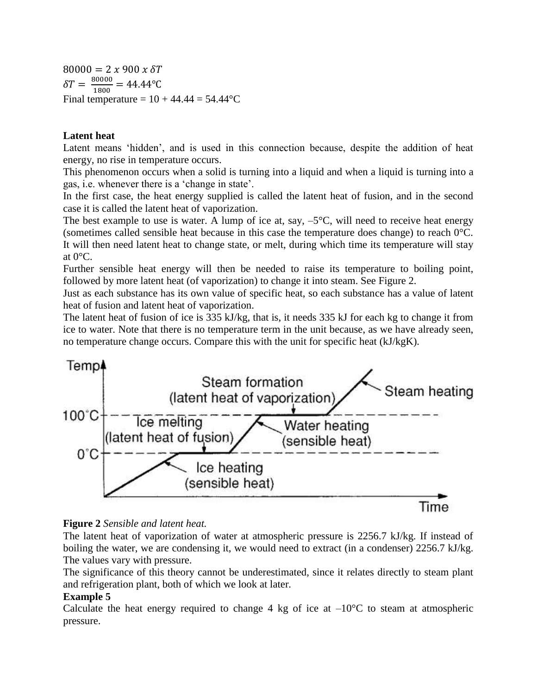$80000 = 2 \times 900 \times 8T$  $\delta T = \frac{8}{3}$  $\frac{10000}{1800} =$ Final temperature =  $10 + 44.44 = 54.44^{\circ}C$ 

### **Latent heat**

Latent means 'hidden', and is used in this connection because, despite the addition of heat energy, no rise in temperature occurs.

This phenomenon occurs when a solid is turning into a liquid and when a liquid is turning into a gas, i.e. whenever there is a 'change in state'.

In the first case, the heat energy supplied is called the latent heat of fusion, and in the second case it is called the latent heat of vaporization.

The best example to use is water. A lump of ice at, say,  $-5^{\circ}C$ , will need to receive heat energy (sometimes called sensible heat because in this case the temperature does change) to reach 0°C. It will then need latent heat to change state, or melt, during which time its temperature will stay at 0°C.

Further sensible heat energy will then be needed to raise its temperature to boiling point, followed by more latent heat (of vaporization) to change it into steam. See Figure 2.

Just as each substance has its own value of specific heat, so each substance has a value of latent heat of fusion and latent heat of vaporization.

The latent heat of fusion of ice is 335 kJ/kg, that is, it needs 335 kJ for each kg to change it from ice to water. Note that there is no temperature term in the unit because, as we have already seen, no temperature change occurs. Compare this with the unit for specific heat (kJ/kgK).



## **Figure 2** *Sensible and latent heat.*

The latent heat of vaporization of water at atmospheric pressure is 2256.7 kJ/kg. If instead of boiling the water, we are condensing it, we would need to extract (in a condenser) 2256.7 kJ/kg. The values vary with pressure.

The significance of this theory cannot be underestimated, since it relates directly to steam plant and refrigeration plant, both of which we look at later.

## **Example 5**

Calculate the heat energy required to change 4 kg of ice at  $-10^{\circ}$ C to steam at atmospheric pressure.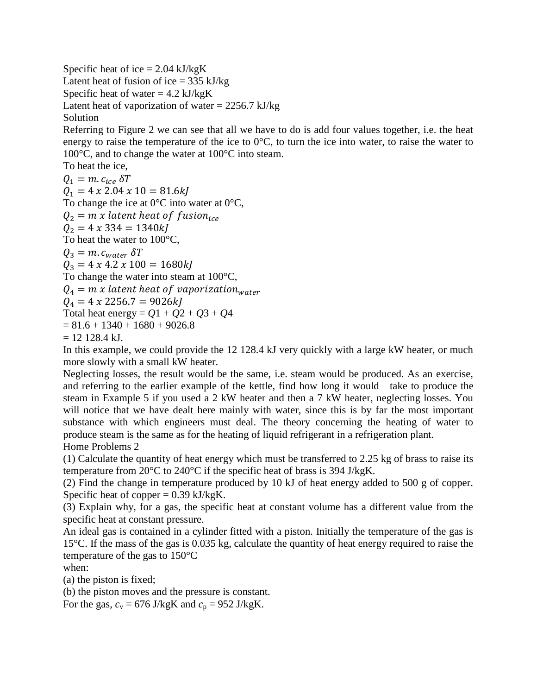Specific heat of ice  $= 2.04 \text{ kJ/kgK}$ Latent heat of fusion of ice  $=$  335 kJ/kg Specific heat of water  $= 4.2 \text{ kJ/kgK}$ Latent heat of vaporization of water  $= 2256.7 \text{ kJ/kg}$ Solution Referring to Figure 2 we can see that all we have to do is add four values together, i.e. the heat energy to raise the temperature of the ice to  $0^{\circ}$ C, to turn the ice into water, to raise the water to 100°C, and to change the water at 100°C into steam. To heat the ice,  $Q_1 = m.c_{ice} \, \delta T$  $Q_1 = 4 \times 2.04 \times 10 = 81.6 kJ$ To change the ice at  $0^{\circ}$ C into water at  $0^{\circ}$ C,  $Q_2 = m x$  latent heat of fusion<sub>ice</sub>  $Q_2 = 4 \times 334 = 1340 kJ$ To heat the water to 100°C,  $Q_3 = m.c_{water} \, \delta T$  $Q_3 = 4 \times 4.2 \times 100 = 1680 kJ$ To change the water into steam at 100°C,  $Q_4 = m x$  latent heat of vaporization<sub>water</sub>  $Q_4 = 4 \times 2256.7 = 9026 kJ$ Total heat energy =  $Q1 + Q2 + Q3 + Q4$  $= 81.6 + 1340 + 1680 + 9026.8$  $= 12$  128.4 kJ.

In this example, we could provide the 12 128.4 kJ very quickly with a large kW heater, or much more slowly with a small kW heater.

Neglecting losses, the result would be the same, i.e. steam would be produced. As an exercise, and referring to the earlier example of the kettle, find how long it would take to produce the steam in Example 5 if you used a 2 kW heater and then a 7 kW heater, neglecting losses. You will notice that we have dealt here mainly with water, since this is by far the most important substance with which engineers must deal. The theory concerning the heating of water to produce steam is the same as for the heating of liquid refrigerant in a refrigeration plant. Home Problems 2

(1) Calculate the quantity of heat energy which must be transferred to 2.25 kg of brass to raise its temperature from 20°C to 240°C if the specific heat of brass is 394 J/kgK.

(2) Find the change in temperature produced by 10 kJ of heat energy added to 500 g of copper. Specific heat of copper  $= 0.39$  kJ/kgK.

(3) Explain why, for a gas, the specific heat at constant volume has a different value from the specific heat at constant pressure.

An ideal gas is contained in a cylinder fitted with a piston. Initially the temperature of the gas is 15°C. If the mass of the gas is 0.035 kg, calculate the quantity of heat energy required to raise the temperature of the gas to 150°C

when:

(a) the piston is fixed;

(b) the piston moves and the pressure is constant.

For the gas,  $c_v = 676$  J/kgK and  $c_p = 952$  J/kgK.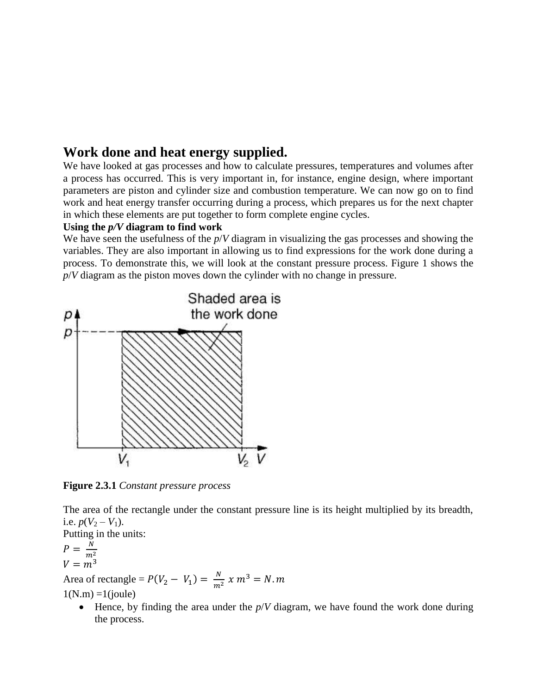# **Work done and heat energy supplied.**

We have looked at gas processes and how to calculate pressures, temperatures and volumes after a process has occurred. This is very important in, for instance, engine design, where important parameters are piston and cylinder size and combustion temperature. We can now go on to find work and heat energy transfer occurring during a process, which prepares us for the next chapter in which these elements are put together to form complete engine cycles.

### **Using the** *p/V* **diagram to find work**

We have seen the usefulness of the *p*/*V* diagram in visualizing the gas processes and showing the variables. They are also important in allowing us to find expressions for the work done during a process. To demonstrate this, we will look at the constant pressure process. Figure 1 shows the *p*/*V* diagram as the piston moves down the cylinder with no change in pressure.



**Figure 2.3.1** *Constant pressure process*

The area of the rectangle under the constant pressure line is its height multiplied by its breadth, i.e.  $p(V_2 - V_1)$ .

Putting in the units:  $P = \frac{N}{m}$  $\boldsymbol{m}$  $V = m^3$ Area of rectangle =  $P(V_2 - V_1) = \frac{N}{m^2}$  $rac{N}{m^2}$  x  $1(N.m) = 1$ (joule)

 Hence, by finding the area under the *p*/*V* diagram, we have found the work done during the process.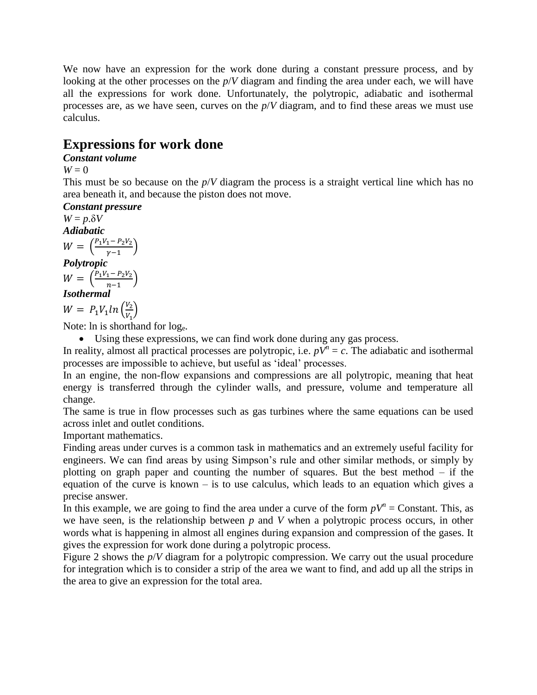We now have an expression for the work done during a constant pressure process, and by looking at the other processes on the *p*/*V* diagram and finding the area under each, we will have all the expressions for work done. Unfortunately, the polytropic, adiabatic and isothermal processes are, as we have seen, curves on the *p*/*V* diagram, and to find these areas we must use calculus.

# **Expressions for work done**

## *Constant volume*

 $W = 0$ 

This must be so because on the *p*/*V* diagram the process is a straight vertical line which has no area beneath it, and because the piston does not move.

### *Constant pressure*

 $W = p.\delta V$ *Adiabatic*  $W = \left(\frac{P}{P}\right)$  $\frac{1^{-1}2^{\nu_2}}{\gamma-1}\Big)$ *Polytropic*  $W = \left(\frac{P}{P}\right)$  $\frac{1^{-1}2^{\nu_2}}{n-1}\bigg)$ *Isothermal*

 $W = P_1 V_1 ln\left(\frac{V_1}{V_1}\right)$  $\frac{v_2}{v_1}$ 

Note: In is shorthand for  $log_e$ .

Using these expressions, we can find work done during any gas process.

In reality, almost all practical processes are polytropic, i.e.  $pV^n = c$ . The adiabatic and isothermal processes are impossible to achieve, but useful as 'ideal' processes.

In an engine, the non-flow expansions and compressions are all polytropic, meaning that heat energy is transferred through the cylinder walls, and pressure, volume and temperature all change.

The same is true in flow processes such as gas turbines where the same equations can be used across inlet and outlet conditions.

Important mathematics.

Finding areas under curves is a common task in mathematics and an extremely useful facility for engineers. We can find areas by using Simpson's rule and other similar methods, or simply by plotting on graph paper and counting the number of squares. But the best method – if the equation of the curve is known  $-$  is to use calculus, which leads to an equation which gives a precise answer.

In this example, we are going to find the area under a curve of the form  $pV^n$  = Constant. This, as we have seen, is the relationship between *p* and *V* when a polytropic process occurs, in other words what is happening in almost all engines during expansion and compression of the gases. It gives the expression for work done during a polytropic process.

Figure 2 shows the *p*/*V* diagram for a polytropic compression. We carry out the usual procedure for integration which is to consider a strip of the area we want to find, and add up all the strips in the area to give an expression for the total area.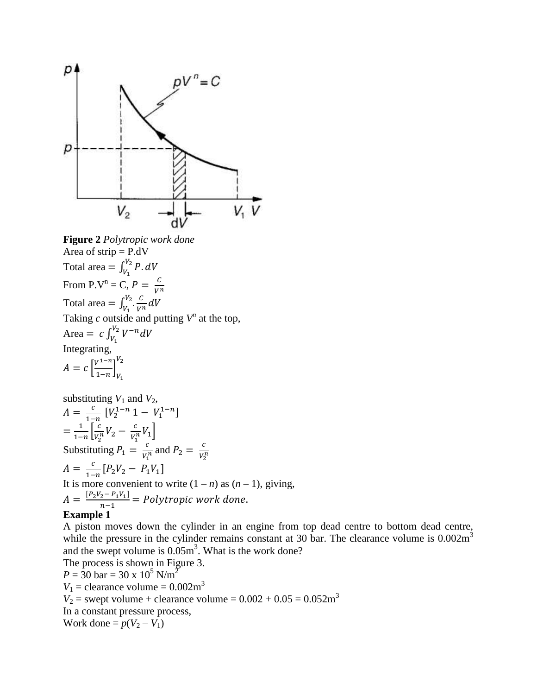

**Figure 2** *Polytropic work done* Area of strip  $=$  P.dV Total area =  $\int_{V_1}^{V_2} P$ From P.V<sup>n</sup> = C,  $P = \frac{C}{m}$ V Total area =  $\int_{V_1}^{V_2} \frac{C}{V_1}$  $V_1$  V Taking *c* outside and putting  $V^n$  at the top, Area =  $c \int_{V_1}^{V_2} V^{-}$ V Integrating,  $A = c \left[\frac{V^1}{1}\right]$  $\left[\frac{1}{1-n}\right]_V$ V.

substituting  $V_1$  and  $V_2$ ,  $A=\frac{c}{1}$  $\frac{c}{1-n}$   $[V_2^{1-n} 1 - V_1^{1-n}]$  $=\frac{1}{1}$  $\frac{1}{1-n} \left[\frac{c}{V_2^1}\right]$  $V_2^n$  $\mathcal{C}_{0}^{(n)}$  $\frac{c}{V_1^n}V_1$ Substituting  $P_1 = \frac{c}{v}$  $rac{c}{v_1^n}$  and  $P_2 = \frac{c}{v_2^n}$  $\overline{V_2^n}$  $A = \frac{c}{1}$  $\frac{c}{1-n} [P_2 V_2 - P_1 V_1]$ It is more convenient to write  $(1 - n)$  as  $(n - 1)$ , giving,  $A = \frac{[P_2 V_2 - P_1 V_1]}{T}$  $\frac{2^{-1}1^{v}1^{v}}{n-1}$  =

#### **Example 1**

A piston moves down the cylinder in an engine from top dead centre to bottom dead centre, while the pressure in the cylinder remains constant at 30 bar. The clearance volume is  $0.002m<sup>3</sup>$ and the swept volume is  $0.05m<sup>3</sup>$ . What is the work done?

The process is shown in Figure 3.  $P = 30 \text{ bar} = 30 \text{ x } 10^5 \text{ N/m}^2$  $V_1$  = clearance volume =  $0.002m<sup>3</sup>$  $V_2$  = swept volume + clearance volume =  $0.002 + 0.05 = 0.052$ m<sup>3</sup> In a constant pressure process, Work done =  $p(V_2 - V_1)$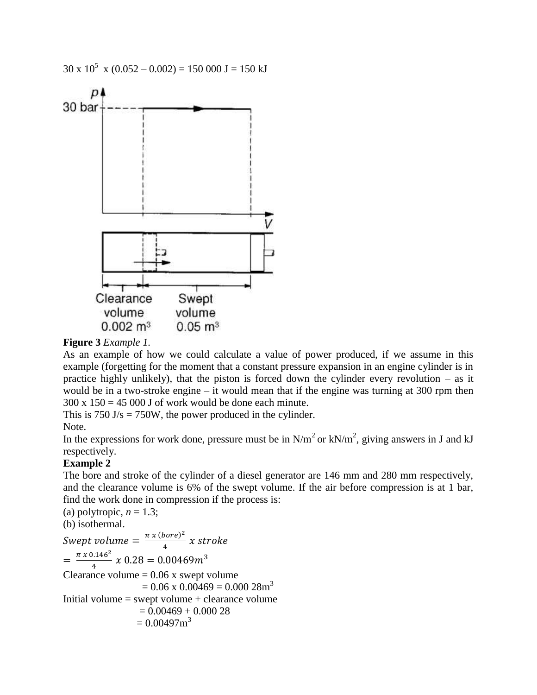

### **Figure 3** *Example 1.*

As an example of how we could calculate a value of power produced, if we assume in this example (forgetting for the moment that a constant pressure expansion in an engine cylinder is in practice highly unlikely), that the piston is forced down the cylinder every revolution – as it would be in a two-stroke engine – it would mean that if the engine was turning at 300 rpm then  $300 \times 150 = 45000$  J of work would be done each minute.

This is  $750 \text{ J/s} = 750 \text{W}$ , the power produced in the cylinder. Note.

In the expressions for work done, pressure must be in  $N/m^2$  or  $kN/m^2$ , giving answers in J and kJ respectively.

## **Example 2**

The bore and stroke of the cylinder of a diesel generator are 146 mm and 280 mm respectively, and the clearance volume is 6% of the swept volume. If the air before compression is at 1 bar, find the work done in compression if the process is:

(a) polytropic,  $n = 1.3$ ; (b) isothermal.

Swept volume  $=\frac{\pi x (bore)^2}{4}$  $\frac{101e}{4}x$  $=\frac{\pi}{2}$  $\frac{140}{4} x$ Clearance volume  $= 0.06$  x swept volume  $= 0.06$  x  $0.00469 = 0.000$   $28$ m<sup>3</sup> Initial volume  $=$  swept volume  $+$  clearance volume  $= 0.00469 + 0.00028$  $= 0.00497$  $m<sup>3</sup>$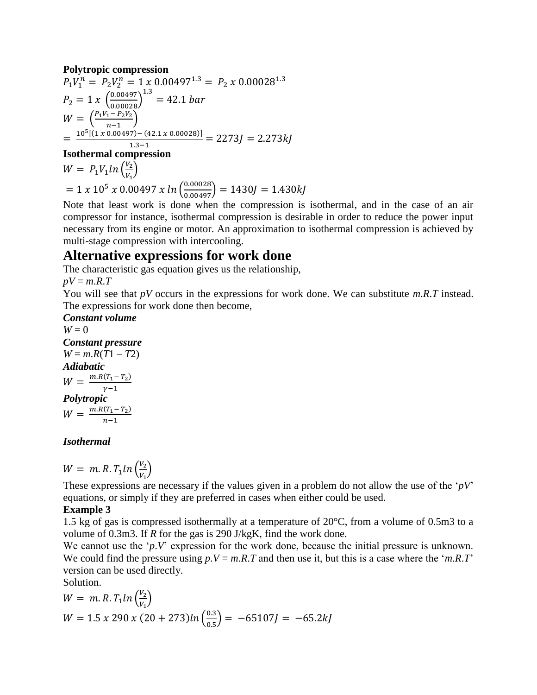#### **Polytropic compression**

$$
P_1V_1^n = P_2V_2^n = 1 \times 0.00497^{1.3} = P_2 \times 0.00028^{1.3}
$$
  
\n
$$
P_2 = 1 \times \left(\frac{0.00497}{0.00028}\right)^{1.3} = 42.1 \text{ bar}
$$
  
\n
$$
W = \left(\frac{P_1V_1 - P_2V_2}{n-1}\right)
$$
  
\n
$$
= \frac{10^5[(1 \times 0.00497) - (42.1 \times 0.00028)]}{1.3 - 1} = 2273J = 2.273kJ
$$

**Isothermal compression** 

$$
W = P_1 V_1 ln\left(\frac{V_2}{V_1}\right)
$$
  
= 1 x 10<sup>5</sup> x 0.00497 x ln  $\left(\frac{0.00028}{0.00497}\right)$  = 1430J = 1.430kJ

Note that least work is done when the compression is isothermal, and in the case of an air compressor for instance, isothermal compression is desirable in order to reduce the power input necessary from its engine or motor. An approximation to isothermal compression is achieved by multi-stage compression with intercooling.

## **Alternative expressions for work done**

The characteristic gas equation gives us the relationship,

 $pV = m.R.T$ 

You will see that *pV* occurs in the expressions for work done. We can substitute *m*.*R*.*T* instead. The expressions for work done then become,

*Constant volume*  $W = 0$ *Constant pressure*  $W = m.R(T1 - T2)$ *Adiabatic*  $W = \frac{m R (T_1 - T_2)}{nL_1}$ γ *Polytropic*  $W = \frac{m R (T_1 - T_2)}{m A}$  $\boldsymbol{n}$ 

#### *Isothermal*

 $W = m R \cdot T_1 ln\left(\frac{V_1}{V_1}\right)$  $\frac{v_2}{v_1}$ 

These expressions are necessary if the values given in a problem do not allow the use of the '*pV*' equations, or simply if they are preferred in cases when either could be used.

## **Example 3**

1.5 kg of gas is compressed isothermally at a temperature of  $20^{\circ}$ C, from a volume of 0.5m3 to a volume of 0.3m3. If *R* for the gas is 290 J/kgK, find the work done.

We cannot use the '*p*.*V*' expression for the work done, because the initial pressure is unknown. We could find the pressure using  $p.V = m.R.T$  and then use it, but this is a case where the ' $m.R.T$ ' version can be used directly.

Solution.

$$
W = m.R.T_1ln\left(\frac{V_2}{V_1}\right)
$$
  
W = 1.5 x 290 x (20 + 273)ln\left(\frac{0.3}{0.5}\right) = -65107J = -65.2kJ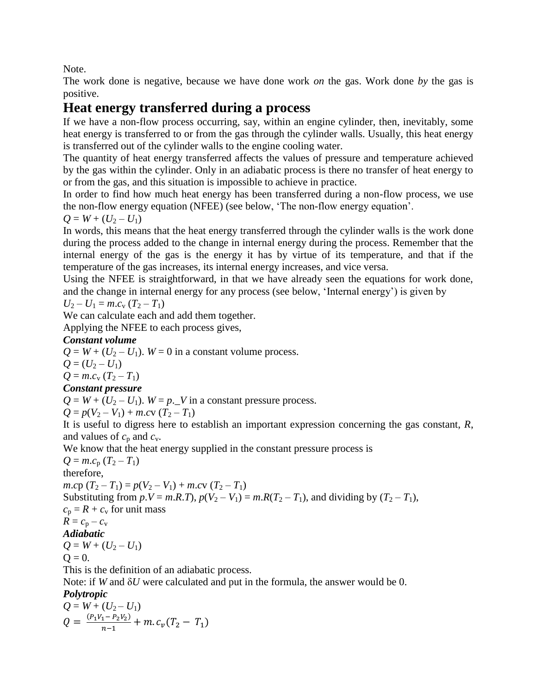Note.

The work done is negative, because we have done work *on* the gas. Work done *by* the gas is positive.

# **Heat energy transferred during a process**

If we have a non-flow process occurring, say, within an engine cylinder, then, inevitably, some heat energy is transferred to or from the gas through the cylinder walls. Usually, this heat energy is transferred out of the cylinder walls to the engine cooling water.

The quantity of heat energy transferred affects the values of pressure and temperature achieved by the gas within the cylinder. Only in an adiabatic process is there no transfer of heat energy to or from the gas, and this situation is impossible to achieve in practice.

In order to find how much heat energy has been transferred during a non-flow process, we use the non-flow energy equation (NFEE) (see below, 'The non-flow energy equation'.  $Q = W + (U_2 - U_1)$ 

In words, this means that the heat energy transferred through the cylinder walls is the work done during the process added to the change in internal energy during the process. Remember that the internal energy of the gas is the energy it has by virtue of its temperature, and that if the temperature of the gas increases, its internal energy increases, and vice versa.

Using the NFEE is straightforward, in that we have already seen the equations for work done, and the change in internal energy for any process (see below, 'Internal energy') is given by

 $U_2 - U_1 = m.c$ <sub>v</sub> (*T*<sub>2</sub> – *T*<sub>1</sub>)

We can calculate each and add them together.

Applying the NFEE to each process gives,

## *Constant volume*

 $Q = W + (U_2 - U_1)$ .  $W = 0$  in a constant volume process.

 $Q = (U_2 - U_1)$ 

 $Q = m.c_v (T_2 - T_1)$ 

*Constant pressure*

 $Q = W + (U_2 - U_1)$ .  $W = p$ . *V* in a constant pressure process.

 $Q = p(V_2 - V_1) + m.cv (T_2 - T_1)$ 

It is useful to digress here to establish an important expression concerning the gas constant, *R*, and values of  $c_p$  and  $c_v$ .

We know that the heat energy supplied in the constant pressure process is

 $Q = m.c_p (T_2 - T_1)$ 

therefore,

 $m$ .*c*p  $(T_2 - T_1) = p(V_2 - V_1) + m$ .*cv*  $(T_2 - T_1)$ 

Substituting from  $p.V = m.R.T$ ,  $p(V_2 - V_1) = m.R(T_2 - T_1)$ , and dividing by  $(T_2 - T_1)$ ,

 $c_p = R + c_v$  for unit mass

$$
R=c_{\rm p}-c_{\rm v}
$$

*Adiabatic*

 $Q = W + (U_2 - U_1)$  $Q = 0$ .

This is the definition of an adiabatic process.

Note: if *W* and δ*U* were calculated and put in the formula, the answer would be 0.

## *Polytropic*

$$
Q = W + (U_2 - U_1)
$$
  
\n
$$
Q = \frac{(P_1V_1 - P_2V_2)}{n-1} + m.c_v(T_2 - T_1)
$$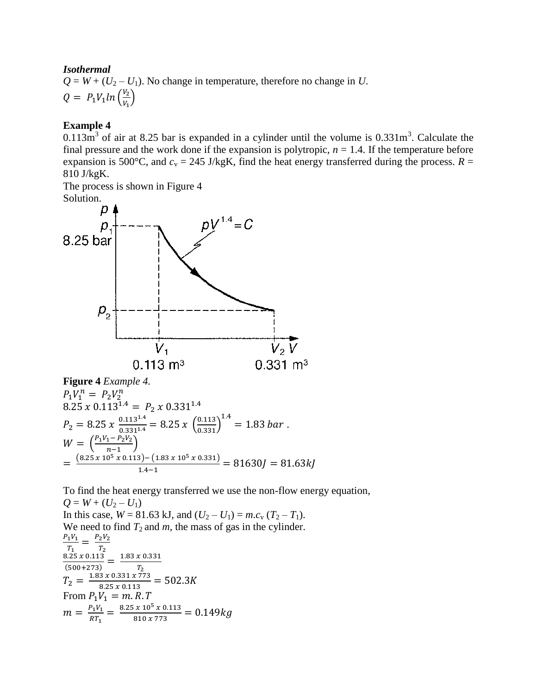#### *Isothermal*  $Q = W + (U_2 - U_1)$ . No change in temperature, therefore no change in *U*.  $Q = P_1 V_1 ln\left(\frac{V_1}{V_1}\right)$  $\frac{v_2}{v_1}$

#### **Example 4**

 $0.113\text{m}^3$  of air at 8.25 bar is expanded in a cylinder until the volume is  $0.331\text{m}^3$ . Calculate the final pressure and the work done if the expansion is polytropic,  $n = 1.4$ . If the temperature before expansion is 500°C, and  $c_v = 245$  J/kgK, find the heat energy transferred during the process.  $R =$ 810 J/kgK.

The process is shown in Figure 4 Solution.



**Figure 4** Example 4.  
\n
$$
P_1V_1^n = P_2V_2^n
$$
  
\n8.25 x 0.113<sup>1.4</sup> =  $P_2$  x 0.331<sup>1.4</sup>  
\n $P_2 = 8.25 x \frac{0.113^{1.4}}{0.331^{1.4}} = 8.25 x \left(\frac{0.113}{0.331}\right)^{1.4} = 1.83 bar$ .  
\n $W = \left(\frac{P_1V_1 - P_2V_2}{n-1}\right)$   
\n $= \frac{(8.25 x 10^5 x 0.113) - (1.83 x 10^5 x 0.331)}{1.4 - 1} = 81630J = 81.63kJ$ 

To find the heat energy transferred we use the non-flow energy equation,  $Q = W + (U_2 - U_1)$ In this case,  $W = 81.63$  kJ, and  $(U_2 - U_1) = m.c_v (T_2 - T_1)$ . We need to find  $T_2$  and  $m$ , the mass of gas in the cylinder.  $\frac{P_1 V_1}{T} = \frac{P_1}{T}$  $\overline{T}$  $T_{\rm 2}$ 8  $\frac{3.25 x 0.113}{(500+273)} = \frac{1}{2}$  $\overline{T}$  $T_2 = \frac{1}{2}$  $\frac{3 \times 0.331 \times 773}{8.25 \times 0.113} =$ From  $m = \frac{P}{I}$  $\frac{P_1 V_1}{RT_1} = \frac{8}{7}$  $\frac{x}{810 \times 773} =$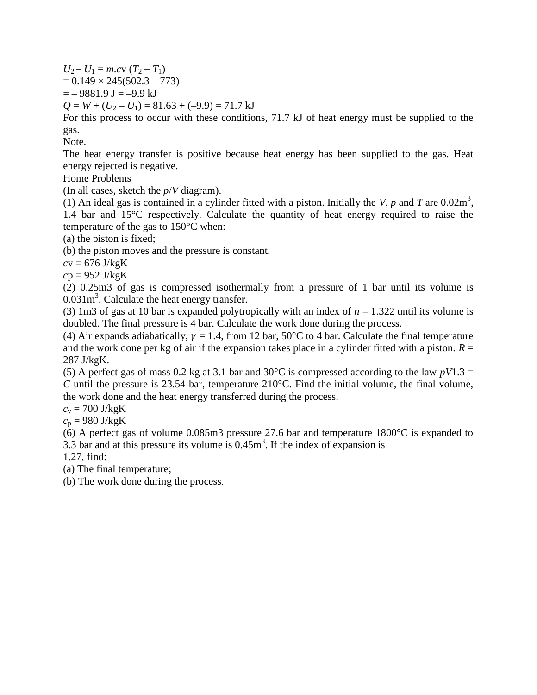$U_2 - U_1 = m.cv$  (*T*<sub>2</sub> – *T*<sub>1</sub>)  $= 0.149 \times 245(502.3 - 773)$  $=-9881.9 J = -9.9 kJ$  $Q = W + (U_2 - U_1) = 81.63 + (-9.9) = 71.7$  kJ

For this process to occur with these conditions, 71.7 kJ of heat energy must be supplied to the gas.

Note.

The heat energy transfer is positive because heat energy has been supplied to the gas. Heat energy rejected is negative.

Home Problems

(In all cases, sketch the *p*/*V* diagram).

(1) An ideal gas is contained in a cylinder fitted with a piston. Initially the *V*,  $p$  and  $T$  are 0.02m<sup>3</sup>, 1.4 bar and 15°C respectively. Calculate the quantity of heat energy required to raise the temperature of the gas to 150°C when:

(a) the piston is fixed;

(b) the piston moves and the pressure is constant.

 $cv = 676$  J/kgK

*c*p = 952 J/kgK

(2) 0.25m3 of gas is compressed isothermally from a pressure of 1 bar until its volume is  $0.031\text{m}^3$ . Calculate the heat energy transfer.

(3) 1m3 of gas at 10 bar is expanded polytropically with an index of *n* = 1.322 until its volume is doubled. The final pressure is 4 bar. Calculate the work done during the process.

(4) Air expands adiabatically,  $\gamma = 1.4$ , from 12 bar, 50°C to 4 bar. Calculate the final temperature and the work done per kg of air if the expansion takes place in a cylinder fitted with a piston.  $R =$ 287 J/kgK.

(5) A perfect gas of mass 0.2 kg at 3.1 bar and 30 $\degree$ C is compressed according to the law  $pV1.3 =$ *C* until the pressure is 23.54 bar, temperature 210°C. Find the initial volume, the final volume, the work done and the heat energy transferred during the process.

 $c_v = 700$  J/kgK

 $c_p = 980 \text{ J/kgK}$ 

(6) A perfect gas of volume 0.085m3 pressure 27.6 bar and temperature 1800°C is expanded to  $3.3$  bar and at this pressure its volume is  $0.45m<sup>3</sup>$ . If the index of expansion is

1.27, find:

(a) The final temperature;

(b) The work done during the process.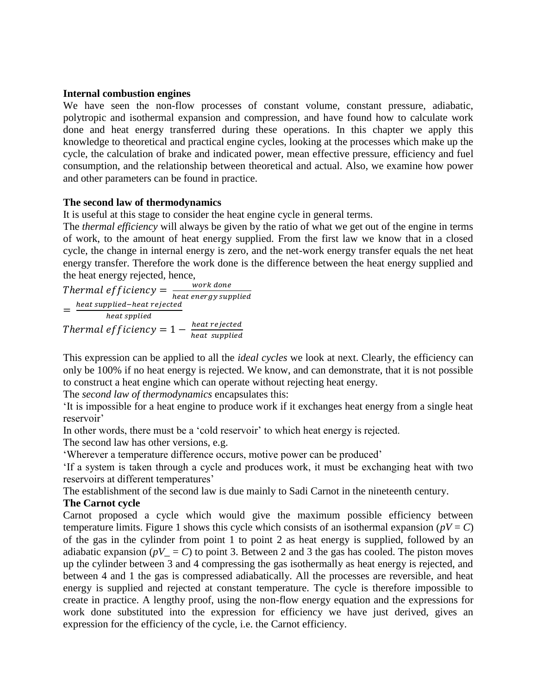#### **Internal combustion engines**

We have seen the non-flow processes of constant volume, constant pressure, adiabatic, polytropic and isothermal expansion and compression, and have found how to calculate work done and heat energy transferred during these operations. In this chapter we apply this knowledge to theoretical and practical engine cycles, looking at the processes which make up the cycle, the calculation of brake and indicated power, mean effective pressure, efficiency and fuel consumption, and the relationship between theoretical and actual. Also, we examine how power and other parameters can be found in practice.

#### **The second law of thermodynamics**

It is useful at this stage to consider the heat engine cycle in general terms.

The *thermal efficiency* will always be given by the ratio of what we get out of the engine in terms of work, to the amount of heat energy supplied. From the first law we know that in a closed cycle, the change in internal energy is zero, and the net-work energy transfer equals the net heat energy transfer. Therefore the work done is the difference between the heat energy supplied and the heat energy rejected, hence,

Thermal efficiency =  $\frac{w}{\ln 2}$ h  $=$  $\frac{h}{h}$  $\boldsymbol{h}$ Thermal efficiency =  $1-\frac{h}{h}$ h

This expression can be applied to all the *ideal cycles* we look at next. Clearly, the efficiency can only be 100% if no heat energy is rejected. We know, and can demonstrate, that it is not possible to construct a heat engine which can operate without rejecting heat energy.

The *second law of thermodynamics* encapsulates this:

'It is impossible for a heat engine to produce work if it exchanges heat energy from a single heat reservoir'

In other words, there must be a 'cold reservoir' to which heat energy is rejected.

The second law has other versions, e.g.

'Wherever a temperature difference occurs, motive power can be produced'

'If a system is taken through a cycle and produces work, it must be exchanging heat with two reservoirs at different temperatures'

The establishment of the second law is due mainly to Sadi Carnot in the nineteenth century.

#### **The Carnot cycle**

Carnot proposed a cycle which would give the maximum possible efficiency between temperature limits. Figure 1 shows this cycle which consists of an isothermal expansion ( $pV = C$ ) of the gas in the cylinder from point 1 to point 2 as heat energy is supplied, followed by an adiabatic expansion ( $pV = C$ ) to point 3. Between 2 and 3 the gas has cooled. The piston moves up the cylinder between 3 and 4 compressing the gas isothermally as heat energy is rejected, and between 4 and 1 the gas is compressed adiabatically. All the processes are reversible, and heat energy is supplied and rejected at constant temperature. The cycle is therefore impossible to create in practice. A lengthy proof, using the non-flow energy equation and the expressions for work done substituted into the expression for efficiency we have just derived, gives an expression for the efficiency of the cycle, i.e. the Carnot efficiency.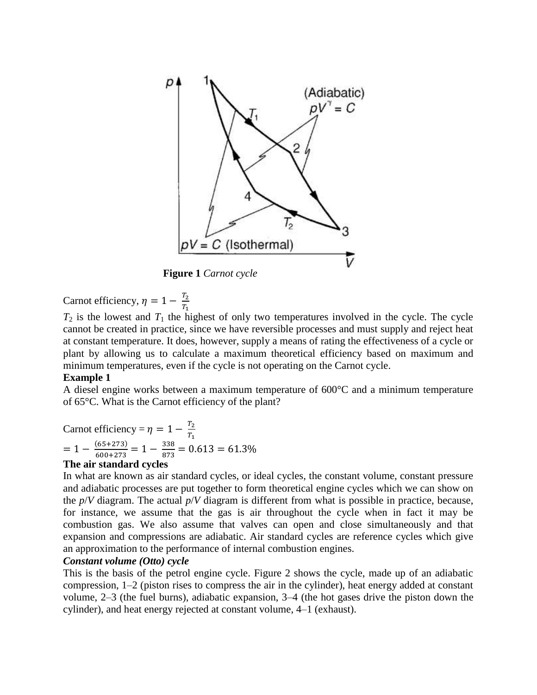

 **Figure 1** *Carnot cycle*

Carnot efficiency,  $\eta = 1 - \frac{T}{T}$  $T_{\rm i}$ 

 $T_2$  is the lowest and  $T_1$  the highest of only two temperatures involved in the cycle. The cycle cannot be created in practice, since we have reversible processes and must supply and reject heat at constant temperature. It does, however, supply a means of rating the effectiveness of a cycle or plant by allowing us to calculate a maximum theoretical efficiency based on maximum and minimum temperatures, even if the cycle is not operating on the Carnot cycle.

#### **Example 1**

A diesel engine works between a maximum temperature of 600°C and a minimum temperature of 65°C. What is the Carnot efficiency of the plant?

Carnot efficiency = 
$$
\eta = 1 - \frac{T_2}{T_1}
$$
  
=  $1 - \frac{(65 + 273)}{600 + 273} = 1 - \frac{338}{873} = 0.613 = 61.3\%$ 

#### **The air standard cycles**

In what are known as air standard cycles, or ideal cycles, the constant volume, constant pressure and adiabatic processes are put together to form theoretical engine cycles which we can show on the *p*/*V* diagram. The actual *p*/*V* diagram is different from what is possible in practice, because, for instance, we assume that the gas is air throughout the cycle when in fact it may be combustion gas. We also assume that valves can open and close simultaneously and that expansion and compressions are adiabatic. Air standard cycles are reference cycles which give an approximation to the performance of internal combustion engines.

#### *Constant volume (Otto) cycle*

This is the basis of the petrol engine cycle. Figure 2 shows the cycle, made up of an adiabatic compression,  $1-2$  (piston rises to compress the air in the cylinder), heat energy added at constant volume, 2–3 (the fuel burns), adiabatic expansion, 3–4 (the hot gases drive the piston down the cylinder), and heat energy rejected at constant volume, 4–1 (exhaust).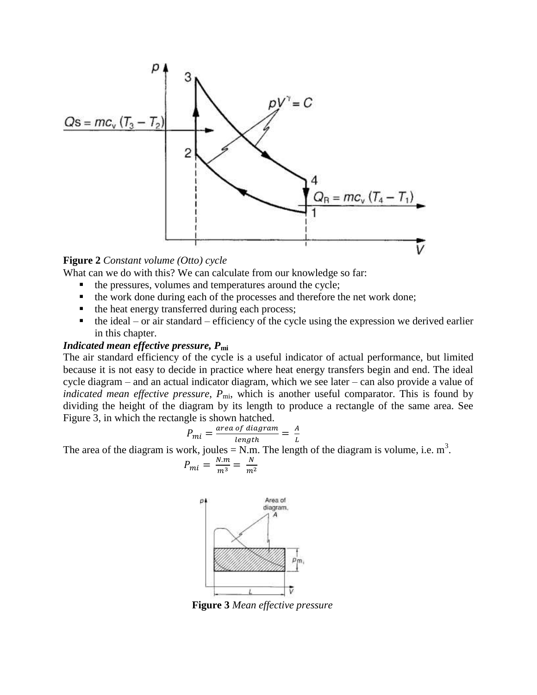

#### **Figure 2** *Constant volume (Otto) cycle*

What can we do with this? We can calculate from our knowledge so far:

- the pressures, volumes and temperatures around the cycle;
- the work done during each of the processes and therefore the net work done;
- $\blacksquare$  the heat energy transferred during each process;
- $\bullet$  the ideal or air standard efficiency of the cycle using the expression we derived earlier in this chapter.

#### *Indicated mean effective pressure, P*<sub>mi</sub>

The air standard efficiency of the cycle is a useful indicator of actual performance, but limited because it is not easy to decide in practice where heat energy transfers begin and end. The ideal cycle diagram – and an actual indicator diagram, which we see later – can also provide a value of *indicated mean effective pressure*,  $P_{\text{mi}}$ , which is another useful comparator. This is found by dividing the height of the diagram by its length to produce a rectangle of the same area. See Figure 3, in which the rectangle is shown hatched.

$$
P_{mi} = \frac{\text{area of diagram}}{\text{length}} = \frac{A}{L}
$$

The area of the diagram is work, joules = N.m. The length of the diagram is volume, i.e.  $m<sup>3</sup>$ .

$$
P_{mi} = \frac{N.m}{m^3} = \frac{N}{m^2}
$$



 **Figure 3** *Mean effective pressure*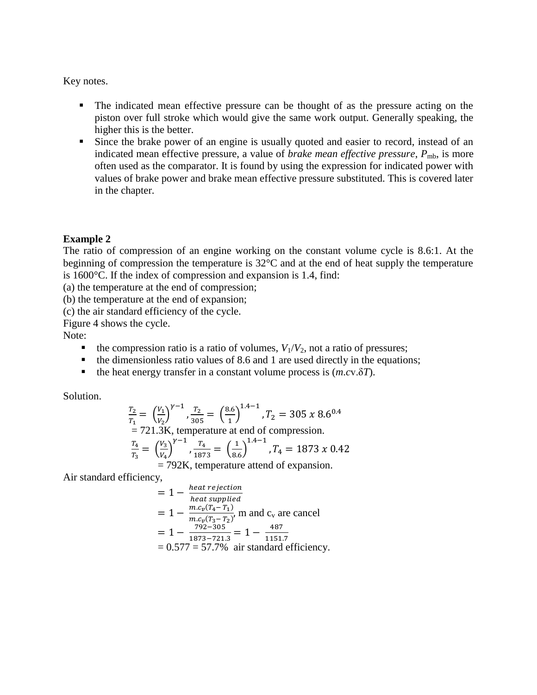Key notes.

- The indicated mean effective pressure can be thought of as the pressure acting on the piston over full stroke which would give the same work output. Generally speaking, the higher this is the better.
- Since the brake power of an engine is usually quoted and easier to record, instead of an indicated mean effective pressure, a value of *brake mean effective pressure*,  $P_{\text{mb}}$ , is more often used as the comparator. It is found by using the expression for indicated power with values of brake power and brake mean effective pressure substituted. This is covered later in the chapter.

## **Example 2**

The ratio of compression of an engine working on the constant volume cycle is 8.6:1. At the beginning of compression the temperature is 32°C and at the end of heat supply the temperature is 1600°C. If the index of compression and expansion is 1.4, find:

(a) the temperature at the end of compression;

(b) the temperature at the end of expansion;

(c) the air standard efficiency of the cycle.

Figure 4 shows the cycle.

Note:

- the compression ratio is a ratio of volumes,  $V_1/V_2$ , not a ratio of pressures;
- $\blacksquare$  the dimensionless ratio values of 8.6 and 1 are used directly in the equations;
- the heat energy transfer in a constant volume process is  $(m.cv.\delta T)$ .

Solution.

$$
\frac{T_2}{T_1} = \left(\frac{V_1}{V_2}\right)^{\gamma - 1}, \frac{T_2}{305} = \left(\frac{8.6}{1}\right)^{1.4 - 1}, T_2 = 305 \times 8.6^{0.4}
$$
  
= 721.3K, temperature at end of compression.  

$$
\frac{T_4}{T_3} = \left(\frac{V_3}{V_4}\right)^{\gamma - 1}, \frac{T_4}{1873} = \left(\frac{1}{8.6}\right)^{1.4 - 1}, T_4 = 1873 \times 0.42
$$
  
= 792K, temperature attend of expansion.

Air standard efficiency,

$$
= 1 - \frac{heat \, rejection}{heat \, supplied}
$$
  
=  $1 - \frac{m.c_v(T_4 - T_1)}{m.c_v(T_3 - T_2)}$ , m and c<sub>v</sub> are cancel  
=  $1 - \frac{792 - 305}{1873 - 721.3} = 1 - \frac{487}{1151.7}$   
= 0.577 = 57.7% air standard efficiency.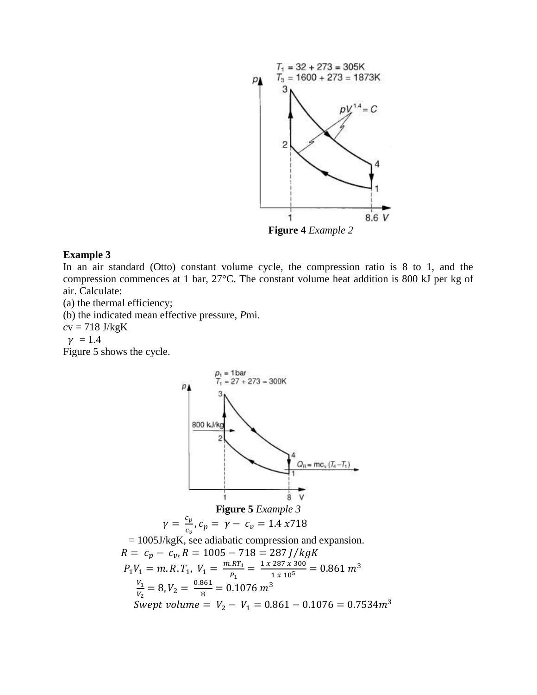

#### **Example 3**

In an air standard (Otto) constant volume cycle, the compression ratio is 8 to 1, and the compression commences at 1 bar, 27°C. The constant volume heat addition is 800 kJ per kg of air. Calculate:

(a) the thermal efficiency;

(b) the indicated mean effective pressure, *P*mi.

 $cv = 718$  J/kgK

 $\gamma = 1.4$ 

Figure 5 shows the cycle.

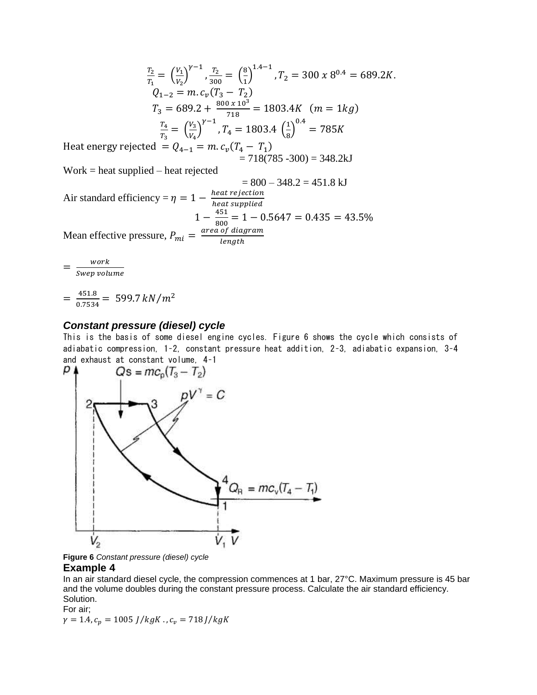T,  $\frac{T_2}{T_1} = \begin{pmatrix} V \\ V \end{pmatrix}$  $\frac{V_1}{V_2}\Big)^{\gamma-1}$ ,  $\frac{T}{30}$  $\frac{T_2}{300} = \left(\frac{8}{1}\right)$  $\binom{8}{1}^{1.4-1}$ ,  $T_2 = 300 \times 8^{0.4} = 689.2K$ .  $(T_3 - T_2)$ 8  $\frac{52 \times 10}{718}$  = 1803.4K  $(m = 1kg)$ T,  $\frac{T_4}{T_3} = \left(\frac{V_3}{V_2}\right)$  $\left(\frac{V_3}{V_4}\right)^{\gamma-1}$  ,  $T_4=1803.4~\left(\frac{1}{8}\right)$  $\left(\frac{1}{8}\right)^{0.4}$  = Heat energy rejected  $= Q_{4-1} = m.c_v(T_4 - T_1)$  $= 718(785 - 300) = 348.2$ kJ Work = heat supplied – heat rejected  $= 800 - 348.2 = 451.8$  kJ Air standard efficiency =  $\eta = 1 - \frac{h}{h}$ h  $1-\frac{4}{3}$  $\frac{451}{800}$  = Mean effective pressure,  $P_{mi} = \frac{a}{c}$ l  $=$ W

$$
=\frac{451.8}{0.7534} = 599.7 \, kN/m^2
$$

S

#### *Constant pressure (diesel) cycle*

This is the basis of some diesel engine cycles. Figure 6 shows the cycle which consists of adiabatic compression, 1–2, constant pressure heat addition, 2–3, adiabatic expansion, 3–4 and exhaust at constant volume, 4–1



**Figure 6** *Constant pressure (diesel) cycle* **Example 4**

In an air standard diesel cycle, the compression commences at 1 bar, 27°C. Maximum pressure is 45 bar and the volume doubles during the constant pressure process. Calculate the air standard efficiency. Solution.

For air;

$$
\gamma = 1.4, c_p = 1005 \, J/kgK \, ., c_v = 718 \, J/kgK
$$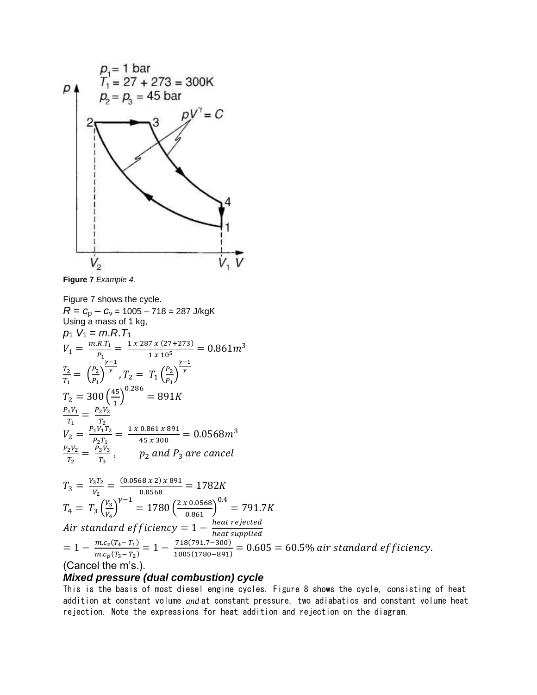



Figure 7 shows the cycle.  $R = C<sub>p</sub> - C<sub>v</sub> = 1005 - 718 = 287$  J/kgK Using a mass of 1 kg,  $p_1$   $V_1 = m.R.T_1$  $V_1 = \frac{m}{2}$  $\frac{R.T_1}{P_1} = \frac{1 \times 287 \times (27+273)}{1 \times 10^5}$  $\mathbf 1$ T,  $\frac{T_2}{T_1} = \left(\frac{P}{P}\right)$  $\frac{12}{P_1}$ γ  $\frac{1}{r}$ ,  $T_2 = T_1 \left( \frac{P_1}{P_1} \right)$  $\frac{1}{P_1}$ γ γ  $T_2 = 300\left(\frac{4}{3}\right)$  $\left(\frac{15}{1}\right)^{0.286}$  =  $\boldsymbol{P}$  $\frac{1}{T_1} \frac{V_1}{V_1} = \frac{P_2}{T_1}$  $T_{\rm i}$  $V_2 = \frac{P}{A}$  $\frac{P_1V_1T_2}{P_2T_1} = \frac{1}{2}$  $\frac{0.861 \times 891}{45 \times 300} =$  $P_1$  $\frac{P_2V_2}{T_2} = \frac{P_2}{T}$  $\frac{3^{\nu}3}{T_3}$  ,  $T_3 = \frac{V_3}{4}$  $\frac{K_3 T_2}{V_2} = \frac{(0.0568 \times 2) x}{0.0568}$  $\frac{100000000000000}{0.0568} =$  $T_4 = T_3 \left(\frac{V_1}{V_1}\right)$  $\left(\frac{V_3}{V_4}\right)^{\gamma-1} = 1780 \left(\frac{2 \times 0.0568}{0.861}\right)^{0.4} =$ Air standard efficiency =  $1 - \frac{h}{h}$  $\boldsymbol{h}$  $= 1 - \frac{m.c_v(T_4 - T_1)}{m.c(T_4 - T_1)}$  $\frac{m.c_v(T_4 - T_1)}{m.c_v(T_3 - T_2)} = 1 - \frac{718(791.7 - 300)}{1005(1780 - 891)}$  $\frac{(1005(1780-891))}{1005(1780-891)} =$ (Cancel the m's.). *Mixed pressure (dual combustion) cycle*

This is the basis of most diesel engine cycles. Figure 8 shows the cycle, consisting of heat addition at constant volume *and* at constant pressure, two adiabatics and constant volume heat rejection. Note the expressions for heat addition and rejection on the diagram.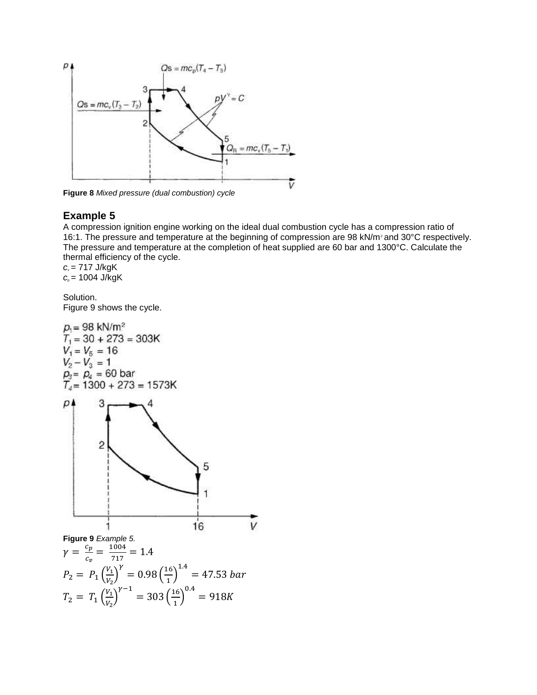

**Figure 8** *Mixed pressure (dual combustion) cycle*

#### **Example 5**

A compression ignition engine working on the ideal dual combustion cycle has a compression ratio of 16:1. The pressure and temperature at the beginning of compression are 98 kN/m<sup>2</sup> and 30°C respectively. The pressure and temperature at the completion of heat supplied are 60 bar and 1300°C. Calculate the thermal efficiency of the cycle.

*c*<sup>v</sup> = 717 J/kgK *c*<sup>p</sup> = 1004 J/kgK

Solution. Figure 9 shows the cycle.

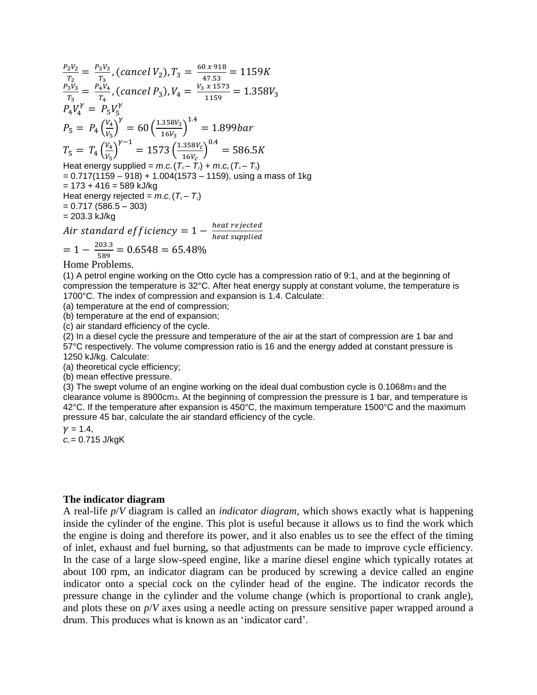$$
\frac{P_2V_2}{T_2} = \frac{P_3V_3}{T_3}, \text{(cancel } V_2), T_3 = \frac{60 \times 918}{47.53} = 1159K
$$
\n
$$
\frac{P_3V_3}{T_3} = \frac{P_4V_4}{T_4}, \text{(cancel } P_3), V_4 = \frac{V_3 \times 1573}{1159} = 1.358V_3
$$
\n
$$
P_4V_4^{\gamma} = P_5V_5^{\gamma}
$$
\n
$$
P_5 = P_4 \left(\frac{V_4}{V_5}\right)^{\gamma} = 60 \left(\frac{1.358V_3}{16V_3}\right)^{1.4} = 1.899bar
$$
\n
$$
T_5 = T_4 \left(\frac{V_4}{V_5}\right)^{\gamma-1} = 1573 \left(\frac{1.358V_c}{16V_c}\right)^{0.4} = 586.5K
$$
\nHeat energy supplied =  $m.c.$  ( $T_3 - T_2$ ) +  $m.c.$  ( $T_4 - T_3$ )\n= 0.717(1159 - 918) + 1.004(1573 - 1159), using a mass of 1kg\n= 173 + 416 = 589 kJ/kg\nHeat energy rejected =  $m.c.$  ( $T_5 - T_1$ )\n= 0.717 (586.5 - 303)\n= 203.3 kJ/kg\nAiv, study of 666 is known, 1, heat rejected

Air standard efficiency =  $1$ heat supplied

$$
= 1 - \frac{203.3}{589} = 0.6548 = 65.48\%
$$

Home Problems.

(1) A petrol engine working on the Otto cycle has a compression ratio of 9:1, and at the beginning of compression the temperature is 32°C. After heat energy supply at constant volume, the temperature is 1700°C. The index of compression and expansion is 1.4. Calculate:

(a) temperature at the end of compression;

(b) temperature at the end of expansion;

(c) air standard efficiency of the cycle.

(2) In a diesel cycle the pressure and temperature of the air at the start of compression are 1 bar and 57°C respectively. The volume compression ratio is 16 and the energy added at constant pressure is 1250 kJ/kg. Calculate:

(a) theoretical cycle efficiency;

(b) mean effective pressure.

(3) The swept volume of an engine working on the ideal dual combustion cycle is 0.1068m<sub>3</sub> and the clearance volume is 8900cm3. At the beginning of compression the pressure is 1 bar, and temperature is 42°C. If the temperature after expansion is 450°C, the maximum temperature 1500°C and the maximum pressure 45 bar, calculate the air standard efficiency of the cycle.

 $\gamma = 1.4$ ,  $c_v = 0.715$  J/kgK

#### **The indicator diagram**

A real-life *p*/*V* diagram is called an *indicator diagram*, which shows exactly what is happening inside the cylinder of the engine. This plot is useful because it allows us to find the work which the engine is doing and therefore its power, and it also enables us to see the effect of the timing of inlet, exhaust and fuel burning, so that adjustments can be made to improve cycle efficiency. In the case of a large slow-speed engine, like a marine diesel engine which typically rotates at about 100 rpm, an indicator diagram can be produced by screwing a device called an engine indicator onto a special cock on the cylinder head of the engine. The indicator records the pressure change in the cylinder and the volume change (which is proportional to crank angle), and plots these on *p*/*V* axes using a needle acting on pressure sensitive paper wrapped around a drum. This produces what is known as an 'indicator card'.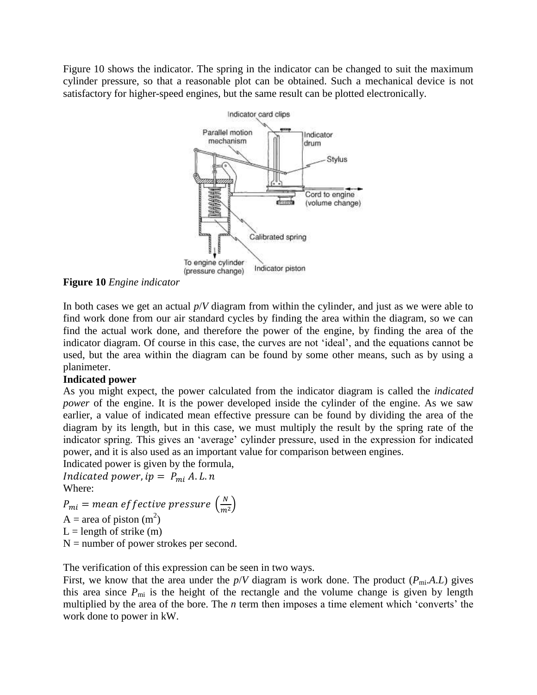Figure 10 shows the indicator. The spring in the indicator can be changed to suit the maximum cylinder pressure, so that a reasonable plot can be obtained. Such a mechanical device is not satisfactory for higher-speed engines, but the same result can be plotted electronically.



**Figure 10** *Engine indicator*

In both cases we get an actual *p*/*V* diagram from within the cylinder, and just as we were able to find work done from our air standard cycles by finding the area within the diagram, so we can find the actual work done, and therefore the power of the engine, by finding the area of the indicator diagram. Of course in this case, the curves are not 'ideal', and the equations cannot be used, but the area within the diagram can be found by some other means, such as by using a planimeter.

## **Indicated power**

As you might expect, the power calculated from the indicator diagram is called the *indicated power* of the engine. It is the power developed inside the cylinder of the engine. As we saw earlier, a value of indicated mean effective pressure can be found by dividing the area of the diagram by its length, but in this case, we must multiply the result by the spring rate of the indicator spring. This gives an 'average' cylinder pressure, used in the expression for indicated power, and it is also used as an important value for comparison between engines.

Indicated power is given by the formula, Indicated power, ip =  $P_{mi}$  A.L.n Where:

$$
P_{mi} = mean \, effective \, pressure \, \left(\frac{N}{m^2}\right)
$$

A = area of piston  $(m^2)$ 

 $L =$  length of strike  $(m)$ 

 $N =$  number of power strokes per second.

The verification of this expression can be seen in two ways.

First, we know that the area under the  $p/V$  diagram is work done. The product  $(P_{mi}A.L)$  gives this area since  $P_{mi}$  is the height of the rectangle and the volume change is given by length multiplied by the area of the bore. The *n* term then imposes a time element which 'converts' the work done to power in kW.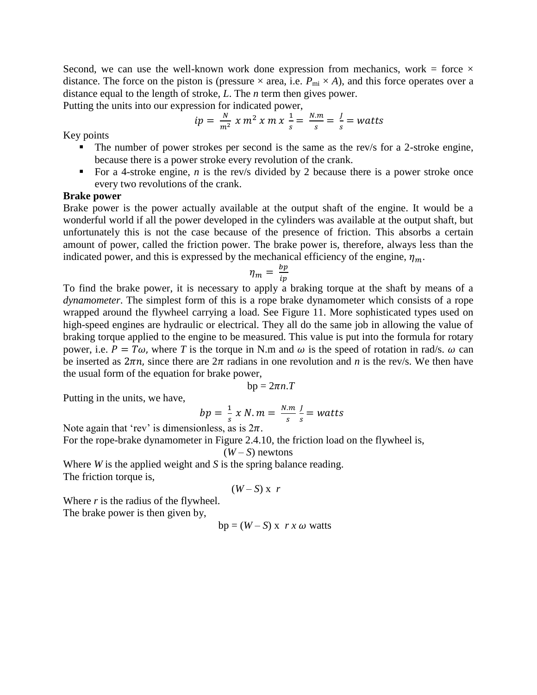Second, we can use the well-known work done expression from mechanics, work = force  $\times$ distance. The force on the piston is (pressure  $\times$  area, i.e.  $P_{\text{mi}} \times A$ ), and this force operates over a distance equal to the length of stroke, *L*. The *n* term then gives power.

Putting the units into our expression for indicated power,

$$
ip = \frac{N}{m^2} x m^2 x m x \frac{1}{s} = \frac{N.m}{s} = \frac{I}{s} = watts
$$

Key points

- The number of power strokes per second is the same as the rev/s for a 2-stroke engine, because there is a power stroke every revolution of the crank.
- For a 4-stroke engine, *n* is the rev/s divided by 2 because there is a power stroke once every two revolutions of the crank.

#### **Brake power**

Brake power is the power actually available at the output shaft of the engine. It would be a wonderful world if all the power developed in the cylinders was available at the output shaft, but unfortunately this is not the case because of the presence of friction. This absorbs a certain amount of power, called the friction power. The brake power is, therefore, always less than the indicated power, and this is expressed by the mechanical efficiency of the engine,  $\eta_m$ .

$$
\eta_m = \frac{bp}{ip}
$$

To find the brake power, it is necessary to apply a braking torque at the shaft by means of a *dynamometer*. The simplest form of this is a rope brake dynamometer which consists of a rope wrapped around the flywheel carrying a load. See Figure 11. More sophisticated types used on high-speed engines are hydraulic or electrical. They all do the same job in allowing the value of braking torque applied to the engine to be measured. This value is put into the formula for rotary power, i.e.  $P = T\omega$ , where T is the torque in N.m and  $\omega$  is the speed of rotation in rad/s.  $\omega$  can be inserted as  $2\pi n$ , since there are  $2\pi$  radians in one revolution and *n* is the rev/s. We then have the usual form of the equation for brake power,

$$
bp = 2\pi n.T
$$

Putting in the units, we have,

$$
bp = \frac{1}{s} x N.m = \frac{N.m}{s} \frac{J}{s} = watts
$$

Note again that 'rev' is dimensionless, as is  $2\pi$ .

For the rope-brake dynamometer in Figure 2.4.10, the friction load on the flywheel is,

$$
(W-S)
$$
 newtons

Where *W* is the applied weight and *S* is the spring balance reading. The friction torque is,

$$
(W-S) \times r
$$

Where *r* is the radius of the flywheel.

The brake power is then given by,

$$
bp = (W - S) x r x \omega
$$
 watts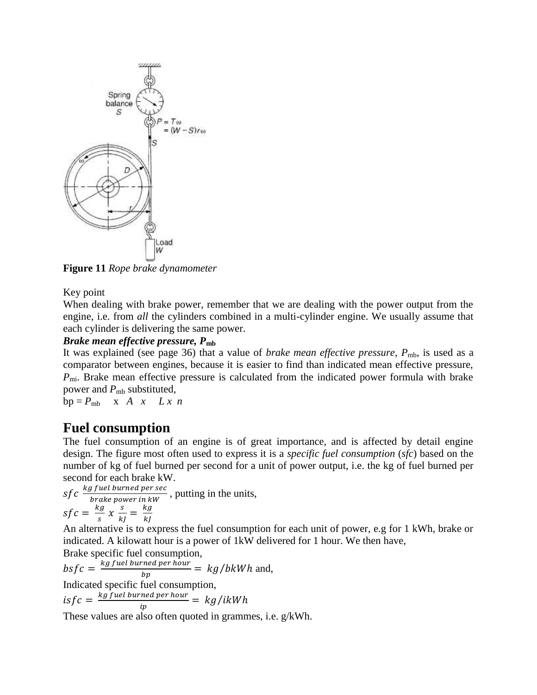

**Figure 11** *Rope brake dynamometer*

## Key point

When dealing with brake power, remember that we are dealing with the power output from the engine, i.e. from *all* the cylinders combined in a multi-cylinder engine. We usually assume that each cylinder is delivering the same power.

## *Brake mean effective pressure, P***mb**

It was explained (see page 36) that a value of *brake mean effective pressure*,  $P_{\text{mb}}$ , is used as a comparator between engines, because it is easier to find than indicated mean effective pressure, *P*<sub>mi</sub>. Brake mean effective pressure is calculated from the indicated power formula with brake power and  $P_{\text{mb}}$  substituted,

 $bp = P_{mb}$  x *A x L x n* 

# **Fuel consumption**

The fuel consumption of an engine is of great importance, and is affected by detail engine design. The figure most often used to express it is a *specific fuel consumption* (*sfc*) based on the number of kg of fuel burned per second for a unit of power output, i.e. the kg of fuel burned per second for each brake kW.

 $sfc \frac{kg \mu_{\text{u}}}{brake power in \, kW}$ , putting in the units,  $sfc = \frac{k}{2}$  $\frac{kg}{s}$  x  $\frac{s}{k}$  $\frac{s}{kJ} = \frac{k}{k}$  $\boldsymbol{k}$ 

An alternative is to express the fuel consumption for each unit of power, e.g for 1 kWh, brake or indicated. A kilowatt hour is a power of 1kW delivered for 1 hour. We then have,

Brake specific fuel consumption,  $bsfc = \frac{k}{2}$  $b\mathcal{v}$  $=$   $kg/bkWh$  and, Indicated specific fuel consumption,  $\frac{igfc}{f} = \frac{kg\,fuel\,burned\,per\,hour}{im} = kg/i$  $in$ 

These values are also often quoted in grammes, i.e. g/kWh.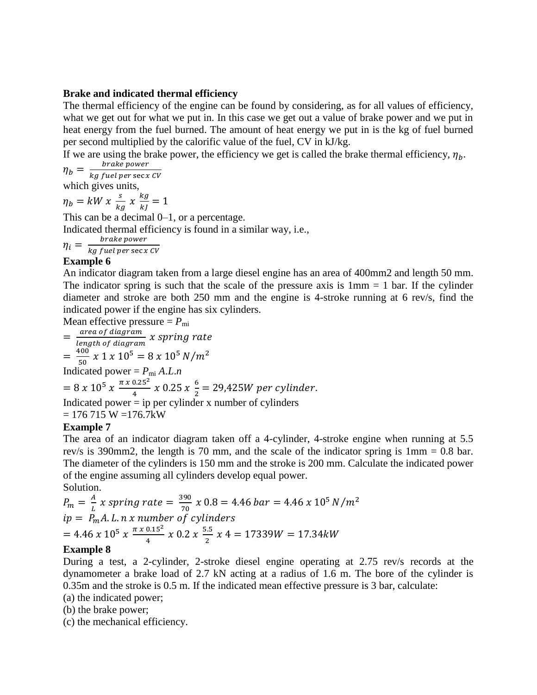#### **Brake and indicated thermal efficiency**

The thermal efficiency of the engine can be found by considering, as for all values of efficiency, what we get out for what we put in. In this case we get out a value of brake power and we put in heat energy from the fuel burned. The amount of heat energy we put in is the kg of fuel burned per second multiplied by the calorific value of the fuel, CV in kJ/kg.

If we are using the brake power, the efficiency we get is called the brake thermal efficiency,  $\eta_h$ .

 $\eta_b = \frac{b}{\ln b}$  $\boldsymbol{k}$ which gives units,

 $\eta_b = kW x \frac{s}{l}$  $\frac{s}{kg}$  x  $\frac{k}{k}$  $\frac{1}{k}$  =

This can be a decimal 0–1, or a percentage.

Indicated thermal efficiency is found in a similar way, i.e.,

 $\eta_i = \frac{b}{\ln 6}$ 

# $\boldsymbol{k}$

#### **Example 6**

An indicator diagram taken from a large diesel engine has an area of 400mm2 and length 50 mm. The indicator spring is such that the scale of the pressure axis is  $1mm = 1$  bar. If the cylinder diameter and stroke are both 250 mm and the engine is 4-stroke running at 6 rev/s, find the indicated power if the engine has six cylinders.

Mean effective pressure  $= P_{\text{mi}}$ 

 $=\frac{a}{\sqrt{a}}$  $\frac{u_1}{u_2}$  and  $\frac{u_2}{u_3}$  and  $\frac{u_3}{u_4}$  and  $\frac{u_4}{u_5}$  and  $\frac{u_1}{u_2}$  and  $\frac{u_1}{u_3}$  $=$  $\frac{4}{7}$  $\frac{400}{50}$  x 1 x 10<sup>5</sup> = 8 x 10<sup>5</sup> N/ Indicated power =  $P_{\text{mi}} A.L.n$  $= 8 x 10^5 x \frac{\pi}{4}$  $\frac{0.25^2}{4}$  x 0.25 x  $\frac{6}{2}$  $\frac{6}{2}$  = Indicated power  $=$  ip per cylinder x number of cylinders  $= 176 715 W = 176.7kW$ 

#### **Example 7**

The area of an indicator diagram taken off a 4-cylinder, 4-stroke engine when running at 5.5 rev/s is 390mm2, the length is 70 mm, and the scale of the indicator spring is 1mm = 0.8 bar. The diameter of the cylinders is 150 mm and the stroke is 200 mm. Calculate the indicated power of the engine assuming all cylinders develop equal power. Solution.

$$
P_m = \frac{A}{L} x \text{ spring rate} = \frac{390}{70} x 0.8 = 4.46 \text{ bar} = 4.46 x 10^5 N/m^2
$$
  
ip = P<sub>m</sub>A. L. n x number of cylinders  
= 4.46 x 10<sup>5</sup> x  $\frac{\pi x 0.15^2}{4} x 0.2 x \frac{5.5}{2} x 4 = 17339W = 17.34 kW$ 

#### **Example 8**

During a test, a 2-cylinder, 2-stroke diesel engine operating at 2.75 rev/s records at the dynamometer a brake load of 2.7 kN acting at a radius of 1.6 m. The bore of the cylinder is 0.35m and the stroke is 0.5 m. If the indicated mean effective pressure is 3 bar, calculate:

(a) the indicated power;

(b) the brake power;

(c) the mechanical efficiency.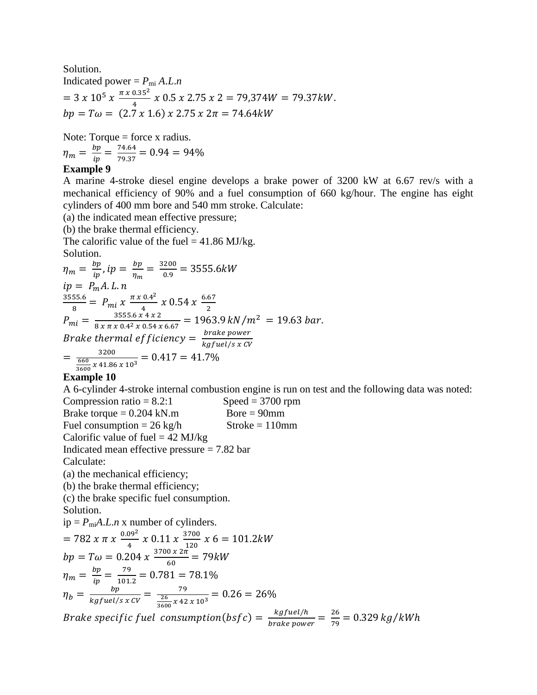Solution.

Indicated power =  $P_{\text{mi}} A.L.n$  $=$  3 x 10<sup>5</sup> x  $\frac{\pi}{4}$  $\frac{0.33}{4}$  x  $bp = T\omega = (2.7 \times 1.6) \times 2.75 \times 2\pi = 74.64 kW$ 

Note: Torque = force x radius.  $\eta_m = \frac{b}{b}$  $\frac{bp}{ip} = \frac{7}{7}$  $\frac{14.04}{79.37}$  =

## **Example 9**

A marine 4-stroke diesel engine develops a brake power of 3200 kW at 6.67 rev/s with a mechanical efficiency of 90% and a fuel consumption of 660 kg/hour. The engine has eight cylinders of 400 mm bore and 540 mm stroke. Calculate:

(a) the indicated mean effective pressure;

(b) the brake thermal efficiency.

The calorific value of the fuel  $= 41.86$  MJ/kg.

Solution.

$$
\eta_m = \frac{bp}{ip}, ip = \frac{bp}{\eta_m} = \frac{3200}{0.9} = 3555.6kW
$$
  
\n $ip = P_m A.L.n$   
\n $\frac{3555.6}{8} = P_{mi} x \frac{\pi x 0.4^2}{4} x 0.54 x \frac{6.67}{2}$   
\n $P_{mi} = \frac{3555.6 x 4 x 2}{8 x \pi x 0.4^2 x 0.54 x 6.67} = 1963.9 kN/m^2 = 19.63 bar.$   
\nBrake thermal efficiency =  $\frac{brake power}{kg fuel/s x CV}$   
\n $= \frac{3200}{\frac{660}{3600}x 41.86 x 10^3} = 0.417 = 41.7\%$ 

#### **Example 10**

A 6-cylinder 4-stroke internal combustion engine is run on test and the following data was noted:

Compression ratio  $= 8.2:1$  Speed  $= 3700$  rpm Brake torque  $= 0.204$  kN.m Bore  $= 90$ mm Fuel consumption =  $26 \text{ kg/h}$  Stroke = 110mm

Calorific value of fuel  $= 42$  MJ/kg

Indicated mean effective pressure = 7.82 bar

Calculate:

(a) the mechanical efficiency;

(b) the brake thermal efficiency;

(c) the brake specific fuel consumption. Solution.

 $ip = P_{mi}A.L.n \times number of cylinders.$ 

$$
= 782 x \pi x \frac{0.09^{2}}{4} x 0.11 x \frac{3700}{120} x 6 = 101.2 kW
$$
  
\n
$$
bp = T\omega = 0.204 x \frac{3700 x 2\pi}{60} = 79 kW
$$
  
\n
$$
\eta_{m} = \frac{bp}{ip} = \frac{79}{101.2} = 0.781 = 78.1\%
$$
  
\n
$$
\eta_{b} = \frac{bp}{kgfuel/s x CV} = \frac{79}{\frac{26}{3600}x 42 x 10^{3}} = 0.26 = 26\%
$$
  
\nBrake specific fuel consumption(bsfc) =  $\frac{kgfuel/h}{brake power} = \frac{26}{79} = 0.329 kg/kWh$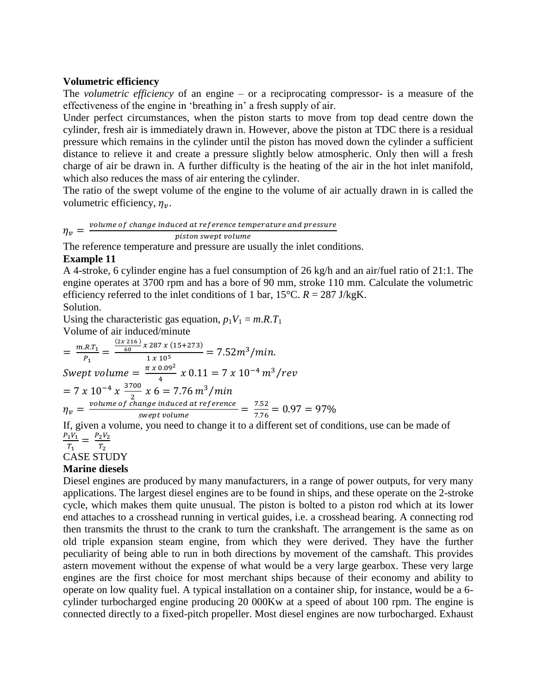#### **Volumetric efficiency**

The *volumetric efficiency* of an engine – or a reciprocating compressor- is a measure of the effectiveness of the engine in 'breathing in' a fresh supply of air.

Under perfect circumstances, when the piston starts to move from top dead centre down the cylinder, fresh air is immediately drawn in. However, above the piston at TDC there is a residual pressure which remains in the cylinder until the piston has moved down the cylinder a sufficient distance to relieve it and create a pressure slightly below atmospheric. Only then will a fresh charge of air be drawn in. A further difficulty is the heating of the air in the hot inlet manifold, which also reduces the mass of air entering the cylinder.

The ratio of the swept volume of the engine to the volume of air actually drawn in is called the volumetric efficiency,  $\eta_v$ .

 $\eta_v = \frac{v}{\cdot}$ piston swept volume

The reference temperature and pressure are usually the inlet conditions.

#### **Example 11**

A 4-stroke, 6 cylinder engine has a fuel consumption of 26 kg/h and an air/fuel ratio of 21:1. The engine operates at 3700 rpm and has a bore of 90 mm, stroke 110 mm. Calculate the volumetric efficiency referred to the inlet conditions of 1 bar,  $15^{\circ}$ C.  $R = 287$  J/kgK. Solution.

Using the characteristic gas equation,  $p_1V_1 = m.R.T_1$ Volume of air induced/minute

$$
= \frac{m.R.T_1}{P_1} = \frac{\frac{(2 \times 216)}{60} \times 287 \times (15+273)}{1 \times 10^5} = 7.52m^3/min.
$$
  
\n*Supert volume* =  $\frac{\pi \times 0.09^2}{4} \times 0.11 = 7 \times 10^{-4} m^3 / rev$   
\n=  $7 \times 10^{-4} \times \frac{3700}{2} \times 6 = 7.76 m^3/min$   
\n
$$
\eta_v = \frac{\text{volume of change induced at reference}}{\text{swept volume}} = \frac{7.52}{7.76} = 0.97 = 97\%
$$
  
\nIf, given a volume, you need to change it to a different set of conditions, use can be made of

$$
\frac{P_1V_1}{T} = \frac{P_2V_2}{T}
$$

 $T_1$  $T_{\rm i}$ CASE STUDY

## **Marine diesels**

Diesel engines are produced by many manufacturers, in a range of power outputs, for very many applications. The largest diesel engines are to be found in ships, and these operate on the 2-stroke cycle, which makes them quite unusual. The piston is bolted to a piston rod which at its lower end attaches to a crosshead running in vertical guides, i.e. a crosshead bearing. A connecting rod then transmits the thrust to the crank to turn the crankshaft. The arrangement is the same as on old triple expansion steam engine, from which they were derived. They have the further peculiarity of being able to run in both directions by movement of the camshaft. This provides astern movement without the expense of what would be a very large gearbox. These very large engines are the first choice for most merchant ships because of their economy and ability to operate on low quality fuel. A typical installation on a container ship, for instance, would be a 6 cylinder turbocharged engine producing 20 000Kw at a speed of about 100 rpm. The engine is connected directly to a fixed-pitch propeller. Most diesel engines are now turbocharged. Exhaust